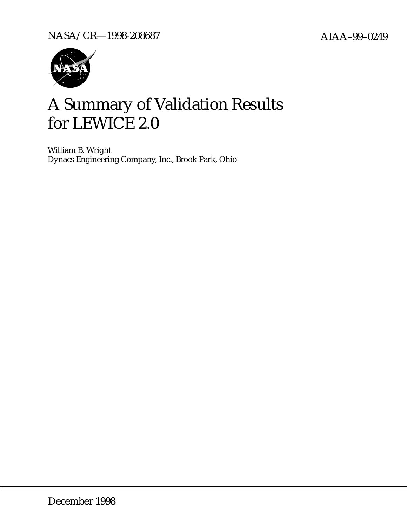



# A Summary of Validation Results for LEWICE 2.0

William B. Wright Dynacs Engineering Company, Inc., Brook Park, Ohio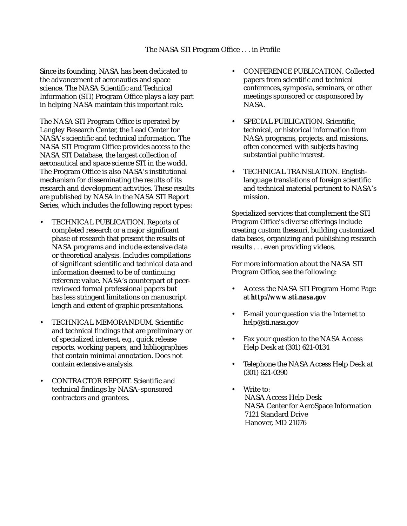Since its founding, NASA has been dedicated to the advancement of aeronautics and space science. The NASA Scientific and Technical Information (STI) Program Office plays a key part in helping NASA maintain this important role.

The NASA STI Program Office is operated by Langley Research Center, the Lead Center for NASA's scientific and technical information. The NASA STI Program Office provides access to the NASA STI Database, the largest collection of aeronautical and space science STI in the world. The Program Office is also NASA's institutional mechanism for disseminating the results of its research and development activities. These results are published by NASA in the NASA STI Report Series, which includes the following report types:

- TECHNICAL PUBLICATION. Reports of completed research or a major significant phase of research that present the results of NASA programs and include extensive data or theoretical analysis. Includes compilations of significant scientific and technical data and information deemed to be of continuing reference value. NASA's counterpart of peerreviewed formal professional papers but has less stringent limitations on manuscript length and extent of graphic presentations.
- TECHNICAL MEMORANDUM. Scientific and technical findings that are preliminary or of specialized interest, e.g., quick release reports, working papers, and bibliographies that contain minimal annotation. Does not contain extensive analysis.
- CONTRACTOR REPORT. Scientific and technical findings by NASA-sponsored contractors and grantees.
- CONFERENCE PUBLICATION. Collected papers from scientific and technical conferences, symposia, seminars, or other meetings sponsored or cosponsored by NASA.
- SPECIAL PUBLICATION. Scientific. technical, or historical information from NASA programs, projects, and missions, often concerned with subjects having substantial public interest.
- TECHNICAL TRANSLATION. Englishlanguage translations of foreign scientific and technical material pertinent to NASA's mission.

Specialized services that complement the STI Program Office's diverse offerings include creating custom thesauri, building customized data bases, organizing and publishing research results . . . even providing videos.

For more information about the NASA STI Program Office, see the following:

- Access the NASA STI Program Home Page at *http://www.sti.nasa.gov*
- E-mail your question via the Internet to help@sti.nasa.gov
- Fax your question to the NASA Access Help Desk at (301) 621-0134
- Telephone the NASA Access Help Desk at (301) 621-0390
- Write to: NASA Access Help Desk NASA Center for AeroSpace Information 7121 Standard Drive Hanover, MD 21076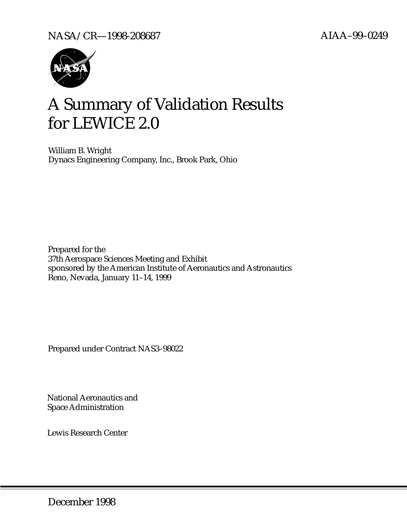

# A Summary of Validation Results for LEWICE 2.0

William B. Wright Dynacs Engineering Company, Inc., Brook Park, Ohio

Prepared for the 37th Aerospace Sciences Meeting and Exhibit sponsored by the American Institute of Aeronautics and Astronautics Reno, Nevada, January 11–14, 1999

Prepared under Contract NAS3–98022

National Aeronautics and Space Administration

Lewis Research Center

December 1998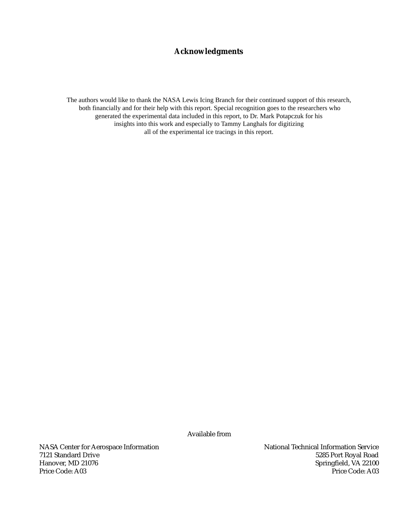## **Acknowledgments**

The authors would like to thank the NASA Lewis Icing Branch for their continued support of this research, both financially and for their help with this report. Special recognition goes to the researchers who generated the experimental data included in this report, to Dr. Mark Potapczuk for his insights into this work and especially to Tammy Langhals for digitizing all of the experimental ice tracings in this report.

Available from

NASA Center for Aerospace Information 7121 Standard Drive Hanover, MD 21076 Price Code: A03

National Technical Information Service 5285 Port Royal Road Springfield, VA 22100 Price Code: A03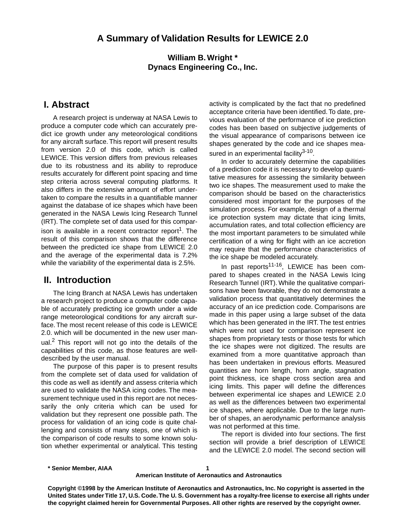## **William B. Wright \* Dynacs Engineering Co., Inc.**

# **I. Abstract**

A research project is underway at NASA Lewis to produce a computer code which can accurately predict ice growth under any meteorological conditions for any aircraft surface. This report will present results from version 2.0 of this code, which is called LEWICE. This version differs from previous releases due to its robustness and its ability to reproduce results accurately for different point spacing and time step criteria across several computing platforms. It also differs in the extensive amount of effort undertaken to compare the results in a quantifiable manner against the database of ice shapes which have been generated in the NASA Lewis Icing Research Tunnel (IRT). The complete set of data used for this comparison is available in a recent contractor report<sup>1</sup>. The result of this comparison shows that the difference between the predicted ice shape from LEWICE 2.0

and the average of the experimental data is 7.2% while the variability of the experimental data is 2.5%.

# **II. Introduction**

The Icing Branch at NASA Lewis has undertaken a research project to produce a computer code capable of accurately predicting ice growth under a wide range meteorological conditions for any aircraft surface. The most recent release of this code is LEWICE 2.0. which will be documented in the new user manual. $<sup>2</sup>$  This report will not go into the details of the</sup> capabilities of this code, as those features are welldescribed by the user manual.

The purpose of this paper is to present results from the complete set of data used for validation of this code as well as identify and assess criteria which are used to validate the NASA icing codes. The measurement technique used in this report are not necessarily the only criteria which can be used for validation but they represent one possible path. The process for validation of an icing code is quite challenging and consists of many steps, one of which is the comparison of code results to some known solution whether experimental or analytical. This testing activity is complicated by the fact that no predefined acceptance criteria have been identified. To date, previous evaluation of the performance of ice prediction codes has been based on subjective judgements of the visual appearance of comparisons between ice shapes generated by the code and ice shapes measured in an experimental facility $3-10$ .

In order to accurately determine the capabilities of a prediction code it is necessary to develop quantitative measures for assessing the similarity between two ice shapes. The measurement used to make the comparison should be based on the characteristics considered most important for the purposes of the simulation process. For example, design of a thermal ice protection system may dictate that icing limits, accumulation rates, and total collection efficiency are the most important parameters to be simulated while certification of a wing for flight with an ice accretion may require that the performance characteristics of the ice shape be modeled accurately.

In past reports<sup>11-16</sup>, LEWICE has been compared to shapes created in the NASA Lewis Icing Research Tunnel (IRT). While the qualitative comparisons have been favorable, they do not demonstrate a validation process that quantitatively determines the accuracy of an ice prediction code. Comparisons are made in this paper using a large subset of the data which has been generated in the IRT. The test entries which were not used for comparison represent ice shapes from proprietary tests or those tests for which the ice shapes were not digitized. The results are examined from a more quantitative approach than has been undertaken in previous efforts. Measured quantities are horn length, horn angle, stagnation point thickness, ice shape cross section area and icing limits. This paper will define the differences between experimental ice shapes and LEWICE 2.0 as well as the differences between two experimental ice shapes, where applicable. Due to the large number of shapes, an aerodynamic performance analysis was not performed at this time.

The report is divided into four sections. The first section will provide a brief description of LEWICE and the LEWICE 2.0 model. The second section will

**\* Senior Member, AIAA 1**

#### **American Institute of Aeronautics and Astronautics**

**Copyright ©1998 by the American Institute of Aeronautics and Astronautics, Inc. No copyright is asserted in the United States under Title 17, U.S. Code. The U. S. Government has a royalty-free license to exercise all rights under the copyright claimed herein for Governmental Purposes. All other rights are reserved by the copyright owner.**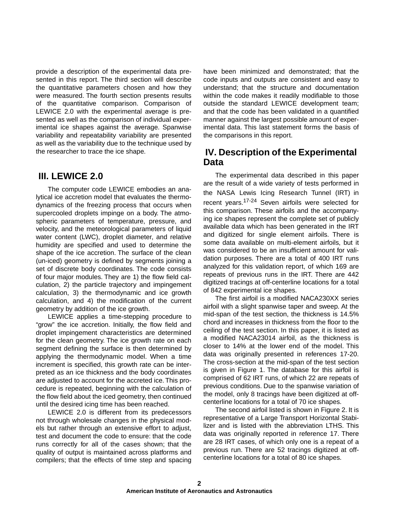provide a description of the experimental data presented in this report. The third section will describe the quantitative parameters chosen and how they were measured. The fourth section presents results of the quantitative comparison. Comparison of LEWICE 2.0 with the experimental average is presented as well as the comparison of individual experimental ice shapes against the average. Spanwise variability and repeatability variability are presented as well as the variability due to the technique used by the researcher to trace the ice shape.

## **III. LEWICE 2.0**

The computer code LEWICE embodies an analytical ice accretion model that evaluates the thermodynamics of the freezing process that occurs when supercooled droplets impinge on a body. The atmospheric parameters of temperature, pressure, and velocity, and the meteorological parameters of liquid water content (LWC), droplet diameter, and relative humidity are specified and used to determine the shape of the ice accretion. The surface of the clean (un-iced) geometry is defined by segments joining a set of discrete body coordinates. The code consists of four major modules. They are 1) the flow field calculation, 2) the particle trajectory and impingement calculation, 3) the thermodynamic and ice growth calculation, and 4) the modification of the current geometry by addition of the ice growth.

LEWICE applies a time-stepping procedure to "grow" the ice accretion. Initially, the flow field and droplet impingement characteristics are determined for the clean geometry. The ice growth rate on each segment defining the surface is then determined by applying the thermodynamic model. When a time increment is specified, this growth rate can be interpreted as an ice thickness and the body coordinates are adjusted to account for the accreted ice. This procedure is repeated, beginning with the calculation of the flow field about the iced geometry, then continued until the desired icing time has been reached.

LEWICE 2.0 is different from its predecessors not through wholesale changes in the physical models but rather through an extensive effort to adjust, test and document the code to ensure: that the code runs correctly for all of the cases shown; that the quality of output is maintained across platforms and compilers; that the effects of time step and spacing have been minimized and demonstrated; that the code inputs and outputs are consistent and easy to understand; that the structure and documentation within the code makes it readily modifiable to those outside the standard LEWICE development team; and that the code has been validated in a quantified manner against the largest possible amount of experimental data. This last statement forms the basis of the comparisons in this report.

## **IV. Description of the Experimental Data**

The experimental data described in this paper are the result of a wide variety of tests performed in the NASA Lewis Icing Research Tunnel (IRT) in recent years.17-24 Seven airfoils were selected for this comparison. These airfoils and the accompanying ice shapes represent the complete set of publicly available data which has been generated in the IRT and digitized for single element airfoils. There is some data available on multi-element airfoils, but it was considered to be an insufficient amount for validation purposes. There are a total of 400 IRT runs analyzed for this validation report, of which 169 are repeats of previous runs in the IRT. There are 442 digitized tracings at off-centerline locations for a total of 842 experimental ice shapes.

The first airfoil is a modified NACA230XX series airfoil with a slight spanwise taper and sweep. At the mid-span of the test section, the thickness is 14.5% chord and increases in thickness from the floor to the ceiling of the test section. In this paper, it is listed as a modified NACA23014 airfoil, as the thickness is closer to 14% at the lower end of the model. This data was originally presented in references 17-20. The cross-section at the mid-span of the test section is given in Figure 1. The database for this airfoil is comprised of 62 IRT runs, of which 22 are repeats of previous conditions. Due to the spanwise variation of the model, only 8 tracings have been digitized at offcenterline locations for a total of 70 ice shapes.

The second airfoil listed is shown in Figure 2. It is representative of a Large Transport Horizontal Stabilizer and is listed with the abbreviation LTHS. This data was originally reported in reference 17. There are 28 IRT cases, of which only one is a repeat of a previous run. There are 52 tracings digitized at offcenterline locations for a total of 80 ice shapes.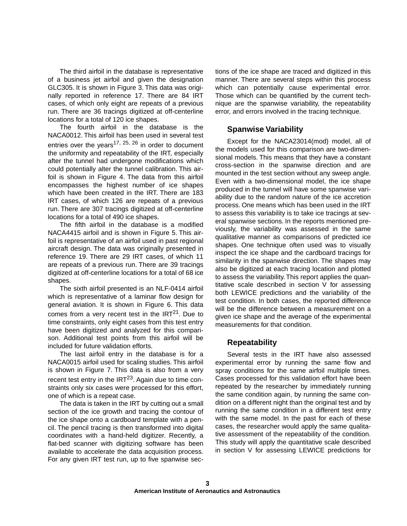The third airfoil in the database is representative of a business jet airfoil and given the designation GLC305. It is shown in Figure 3. This data was originally reported in reference 17. There are 84 IRT cases, of which only eight are repeats of a previous run. There are 36 tracings digitized at off-centerline locations for a total of 120 ice shapes.

The fourth airfoil in the database is the NACA0012. This airfoil has been used in several test entries over the years<sup>17, 25, 26</sup> in order to document the uniformity and repeatability of the IRT, especially after the tunnel had undergone modifications which could potentially alter the tunnel calibration. This airfoil is shown in Figure 4. The data from this airfoil encompasses the highest number of ice shapes which have been created in the IRT. There are 183 IRT cases, of which 126 are repeats of a previous run. There are 307 tracings digitized at off-centerline locations for a total of 490 ice shapes.

The fifth airfoil in the database is a modified NACA4415 airfoil and is shown in Figure 5. This airfoil is representative of an airfoil used in past regional aircraft design. The data was originally presented in reference 19. There are 29 IRT cases, of which 11 are repeats of a previous run. There are 39 tracings digitized at off-centerline locations for a total of 68 ice shapes.

The sixth airfoil presented is an NLF-0414 airfoil which is representative of a laminar flow design for general aviation. It is shown in Figure 6. This data comes from a very recent test in the  $IRT^{21}$ . Due to time constraints, only eight cases from this test entry have been digitized and analyzed for this comparison. Additional test points from this airfoil will be included for future validation efforts.

The last airfoil entry in the database is for a NACA0015 airfoil used for scaling studies. This airfoil is shown in Figure 7. This data is also from a very recent test entry in the  $IRT^{23}$ . Again due to time constraints only six cases were processed for this effort, one of which is a repeat case.

The data is taken in the IRT by cutting out a small section of the ice growth and tracing the contour of the ice shape onto a cardboard template with a pencil. The pencil tracing is then transformed into digital coordinates with a hand-held digitizer. Recently, a flat-bed scanner with digitizing software has been available to accelerate the data acquisition process. For any given IRT test run, up to five spanwise sections of the ice shape are traced and digitized in this manner. There are several steps within this process which can potentially cause experimental error. Those which can be quantified by the current technique are the spanwise variability, the repeatability error, and errors involved in the tracing technique.

#### **Spanwise Variability**

Except for the NACA23014(mod) model, all of the models used for this comparison are two-dimensional models. This means that they have a constant cross-section in the spanwise direction and are mounted in the test section without any sweep angle. Even with a two-dimensional model, the ice shape produced in the tunnel will have some spanwise variability due to the random nature of the ice accretion process. One means which has been used in the IRT to assess this variability is to take ice tracings at several spanwise sections. In the reports mentioned previously, the variability was assessed in the same qualitative manner as comparisons of predicted ice shapes. One technique often used was to visually inspect the ice shape and the cardboard tracings for similarity in the spanwise direction. The shapes may also be digitized at each tracing location and plotted to assess the variability. This report applies the quantitative scale described in section V for assessing both LEWICE predictions and the variability of the test condition. In both cases, the reported difference will be the difference between a measurement on a given ice shape and the average of the experimental measurements for that condition.

## **Repeatability**

Several tests in the IRT have also assessed experimental error by running the same flow and spray conditions for the same airfoil multiple times. Cases processed for this validation effort have been repeated by the researcher by immediately running the same condition again, by running the same condition on a different night than the original test and by running the same condition in a different test entry with the same model. In the past for each of these cases, the researcher would apply the same qualitative assessment of the repeatability of the condition. This study will apply the quantitative scale described in section V for assessing LEWICE predictions for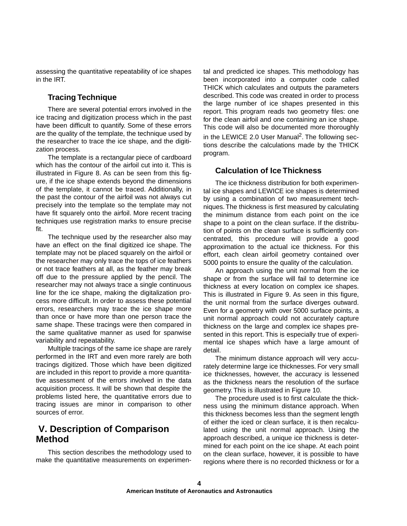assessing the quantitative repeatability of ice shapes in the IRT.

## **Tracing Technique**

There are several potential errors involved in the ice tracing and digitization process which in the past have been difficult to quantify. Some of these errors are the quality of the template, the technique used by the researcher to trace the ice shape, and the digitization process.

The template is a rectangular piece of cardboard which has the contour of the airfoil cut into it. This is illustrated in Figure 8. As can be seen from this figure, if the ice shape extends beyond the dimensions of the template, it cannot be traced. Additionally, in the past the contour of the airfoil was not always cut precisely into the template so the template may not have fit squarely onto the airfoil. More recent tracing techniques use registration marks to ensure precise fit.

The technique used by the researcher also may have an effect on the final digitized ice shape. The template may not be placed squarely on the airfoil or the researcher may only trace the tops of ice feathers or not trace feathers at all, as the feather may break off due to the pressure applied by the pencil. The researcher may not always trace a single continuous line for the ice shape, making the digitalization process more difficult. In order to assess these potential errors, researchers may trace the ice shape more than once or have more than one person trace the same shape. These tracings were then compared in the same qualitative manner as used for spanwise variability and repeatability.

Multiple tracings of the same ice shape are rarely performed in the IRT and even more rarely are both tracings digitized. Those which have been digitized are included in this report to provide a more quantitative assessment of the errors involved in the data acquisition process. It will be shown that despite the problems listed here, the quantitative errors due to tracing issues are minor in comparison to other sources of error.

# **V. Description of Comparison Method**

This section describes the methodology used to make the quantitative measurements on experimental and predicted ice shapes. This methodology has been incorporated into a computer code called THICK which calculates and outputs the parameters described. This code was created in order to process the large number of ice shapes presented in this report. This program reads two geometry files: one for the clean airfoil and one containing an ice shape. This code will also be documented more thoroughly in the LEWICE 2.0 User Manual<sup>2</sup>. The following sections describe the calculations made by the THICK program.

### **Calculation of Ice Thickness**

The ice thickness distribution for both experimental ice shapes and LEWICE ice shapes is determined by using a combination of two measurement techniques. The thickness is first measured by calculating the minimum distance from each point on the ice shape to a point on the clean surface. If the distribution of points on the clean surface is sufficiently concentrated, this procedure will provide a good approximation to the actual ice thickness. For this effort, each clean airfoil geometry contained over 5000 points to ensure the quality of the calculation.

An approach using the unit normal from the ice shape or from the surface will fail to determine ice thickness at every location on complex ice shapes. This is illustrated in Figure 9. As seen in this figure, the unit normal from the surface diverges outward. Even for a geometry with over 5000 surface points, a unit normal approach could not accurately capture thickness on the large and complex ice shapes presented in this report. This is especially true of experimental ice shapes which have a large amount of detail.

The minimum distance approach will very accurately determine large ice thicknesses. For very small ice thicknesses, however, the accuracy is lessened as the thickness nears the resolution of the surface geometry. This is illustrated in Figure 10.

The procedure used is to first calculate the thickness using the minimum distance approach. When this thickness becomes less than the segment length of either the iced or clean surface, it is then recalculated using the unit normal approach. Using the approach described, a unique ice thickness is determined for each point on the ice shape. At each point on the clean surface, however, it is possible to have regions where there is no recorded thickness or for a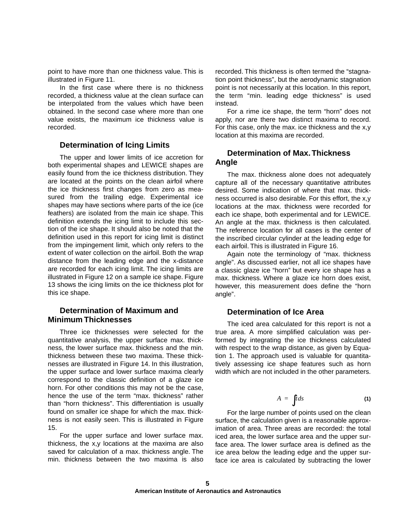point to have more than one thickness value. This is illustrated in Figure 11.

In the first case where there is no thickness recorded, a thickness value at the clean surface can be interpolated from the values which have been obtained. In the second case where more than one value exists, the maximum ice thickness value is recorded.

#### **Determination of Icing Limits**

The upper and lower limits of ice accretion for both experimental shapes and LEWICE shapes are easily found from the ice thickness distribution. They are located at the points on the clean airfoil where the ice thickness first changes from zero as measured from the trailing edge. Experimental ice shapes may have sections where parts of the ice (ice feathers) are isolated from the main ice shape. This definition extends the icing limit to include this section of the ice shape. It should also be noted that the definition used in this report for icing limit is distinct from the impingement limit, which only refers to the extent of water collection on the airfoil. Both the wrap distance from the leading edge and the x-distance are recorded for each icing limit. The icing limits are illustrated in Figure 12 on a sample ice shape. Figure 13 shows the icing limits on the ice thickness plot for this ice shape.

## **Determination of Maximum and Minimum Thicknesses**

Three ice thicknesses were selected for the quantitative analysis, the upper surface max. thickness, the lower surface max. thickness and the min. thickness between these two maxima. These thicknesses are illustrated in Figure 14. In this illustration, the upper surface and lower surface maxima clearly correspond to the classic definition of a glaze ice horn. For other conditions this may not be the case, hence the use of the term "max. thickness" rather than "horn thickness". This differentiation is usually found on smaller ice shape for which the max. thickness is not easily seen. This is illustrated in Figure 15.

For the upper surface and lower surface max. thickness, the x,y locations at the maxima are also saved for calculation of a max. thickness angle. The min. thickness between the two maxima is also

recorded. This thickness is often termed the "stagnation point thickness", but the aerodynamic stagnation point is not necessarily at this location. In this report, the term "min. leading edge thickness" is used instead.

For a rime ice shape, the term "horn" does not apply, nor are there two distinct maxima to record. For this case, only the max. ice thickness and the x,y location at this maxima are recorded.

## **Determination of Max. Thickness Angle**

The max. thickness alone does not adequately capture all of the necessary quantitative attributes desired. Some indication of where that max. thickness occurred is also desirable. For this effort, the x,y locations at the max. thickness were recorded for each ice shape, both experimental and for LEWICE. An angle at the max. thickness is then calculated. The reference location for all cases is the center of the inscribed circular cylinder at the leading edge for each airfoil. This is illustrated in Figure 16.

Again note the terminology of "max. thickness angle". As discussed earlier, not all ice shapes have a classic glaze ice "horn" but every ice shape has a max. thickness. Where a glaze ice horn does exist, however, this measurement does define the "horn angle".

## **Determination of Ice Area**

The iced area calculated for this report is not a true area. A more simplified calculation was performed by integrating the ice thickness calculated with respect to the wrap distance, as given by Equation 1. The approach used is valuable for quantitatively assessing ice shape features such as horn width which are not included in the other parameters.

$$
A = \int t \, ds \tag{1}
$$

For the large number of points used on the clean surface, the calculation given is a reasonable approximation of area. Three areas are recorded: the total iced area, the lower surface area and the upper surface area. The lower surface area is defined as the ice area below the leading edge and the upper surface ice area is calculated by subtracting the lower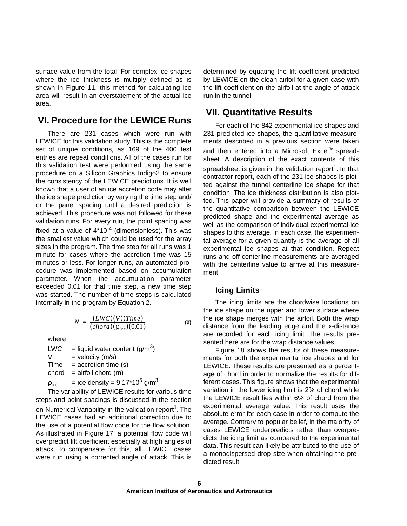surface value from the total. For complex ice shapes where the ice thickness is multiply defined as is shown in Figure 11, this method for calculating ice area will result in an overstatement of the actual ice area.

## **VI. Procedure for the LEWICE Runs**

There are 231 cases which were run with LEWICE for this validation study. This is the complete set of unique conditions, as 169 of the 400 test entries are repeat conditions. All of the cases run for this validation test were performed using the same procedure on a Silicon Graphics Indigo2 to ensure the consistency of the LEWICE predictions. It is well known that a user of an ice accretion code may alter the ice shape prediction by varying the time step and/ or the panel spacing until a desired prediction is achieved. This procedure was not followed for these validation runs. For every run, the point spacing was fixed at a value of  $4*10^{-4}$  (dimensionless). This was the smallest value which could be used for the array sizes in the program. The time step for all runs was 1 minute for cases where the accretion time was 15 minutes or less. For longer runs, an automated procedure was implemented based on accumulation parameter. When the accumulation parameter exceeded 0.01 for that time step, a new time step was started. The number of time steps is calculated internally in the program by Equation 2.

$$
N = \frac{(LWC)(V)(Time)}{(chord)(\rho_{ice})(0.01)}
$$
 (2)

where

LWC = liquid water content  $(q/m^3)$  $V = velocity (m/s)$  $Time = accretion time (s)$ chord  $=$  airfoil chord (m)  $p_{ice}$  = ice density = 9.17\*10<sup>5</sup> g/m<sup>3</sup>

The variability of LEWICE results for various time steps and point spacings is discussed in the section on Numerical Variability in the validation report<sup>1</sup>. The LEWICE cases had an additional correction due to the use of a potential flow code for the flow solution. As illustrated in Figure 17, a potential flow code will overpredict lift coefficient especially at high angles of attack. To compensate for this, all LEWICE cases were run using a corrected angle of attack. This is

determined by equating the lift coefficient predicted by LEWICE on the clean airfoil for a given case with the lift coefficient on the airfoil at the angle of attack run in the tunnel.

## **VII. Quantitative Results**

For each of the 842 experimental ice shapes and 231 predicted ice shapes, the quantitative measurements described in a previous section were taken and then entered into a Microsoft Excel<sup>®</sup> spreadsheet. A description of the exact contents of this spreadsheet is given in the validation report<sup>1</sup>. In that contractor report, each of the 231 ice shapes is plotted against the tunnel centerline ice shape for that condition. The ice thickness distribution is also plotted. This paper will provide a summary of results of the quantitative comparison between the LEWICE predicted shape and the experimental average as well as the comparison of individual experimental ice shapes to this average. In each case, the experimental average for a given quantity is the average of all experimental ice shapes at that condition. Repeat runs and off-centerline measurements are averaged with the centerline value to arrive at this measurement.

#### **Icing Limits**

The icing limits are the chordwise locations on the ice shape on the upper and lower surface where the ice shape merges with the airfoil. Both the wrap distance from the leading edge and the x-distance are recorded for each icing limit. The results presented here are for the wrap distance values.

Figure 18 shows the results of these measurements for both the experimental ice shapes and for LEWICE. These results are presented as a percentage of chord in order to normalize the results for different cases. This figure shows that the experimental variation in the lower icing limit is 2% of chord while the LEWICE result lies within 6% of chord from the experimental average value. This result uses the absolute error for each case in order to compute the average. Contrary to popular belief, in the majority of cases LEWICE underpredicts rather than overpredicts the icing limit as compared to the experimental data. This result can likely be attributed to the use of a monodispersed drop size when obtaining the predicted result.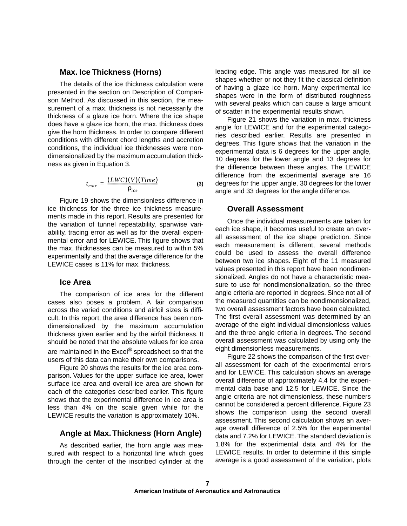#### **Max. Ice Thickness (Horns)**

The details of the ice thickness calculation were presented in the section on Description of Comparison Method. As discussed in this section, the measurement of a max. thickness is not necessarily the thickness of a glaze ice horn. Where the ice shape does have a glaze ice horn, the max. thickness does give the horn thickness. In order to compare different conditions with different chord lengths and accretion conditions, the individual ice thicknesses were nondimensionalized by the maximum accumulation thickness as given in Equation 3.

$$
t_{max} = \frac{(LWC)(V)(Time)}{\rho_{ice}}
$$
 (3)

Figure 19 shows the dimensionless difference in ice thickness for the three ice thickness measurements made in this report. Results are presented for the variation of tunnel repeatability, spanwise variability, tracing error as well as for the overall experimental error and for LEWICE. This figure shows that the max. thicknesses can be measured to within 5% experimentally and that the average difference for the LEWICE cases is 11% for max. thickness.

#### **Ice Area**

The comparison of ice area for the different cases also poses a problem. A fair comparison across the varied conditions and airfoil sizes is difficult. In this report, the area difference has been nondimensionalized by the maximum accumulation thickness given earlier and by the airfoil thickness. It should be noted that the absolute values for ice area are maintained in the Excel® spreadsheet so that the users of this data can make their own comparisons.

Figure 20 shows the results for the ice area comparison. Values for the upper surface ice area, lower surface ice area and overall ice area are shown for each of the categories described earlier. This figure shows that the experimental difference in ice area is less than 4% on the scale given while for the LEWICE results the variation is approximately 10%.

#### **Angle at Max. Thickness (Horn Angle)**

As described earlier, the horn angle was measured with respect to a horizontal line which goes through the center of the inscribed cylinder at the

leading edge. This angle was measured for all ice shapes whether or not they fit the classical definition of having a glaze ice horn. Many experimental ice shapes were in the form of distributed roughness with several peaks which can cause a large amount of scatter in the experimental results shown.

Figure 21 shows the variation in max. thickness angle for LEWICE and for the experimental categories described earlier. Results are presented in degrees. This figure shows that the variation in the experimental data is 6 degrees for the upper angle, 10 degrees for the lower angle and 13 degrees for the difference between these angles. The LEWICE difference from the experimental average are 16 degrees for the upper angle, 30 degrees for the lower angle and 33 degrees for the angle difference.

#### **Overall Assessment**

Once the individual measurements are taken for each ice shape, it becomes useful to create an overall assessment of the ice shape prediction. Since each measurement is different, several methods could be used to assess the overall difference between two ice shapes. Eight of the 11 measured values presented in this report have been nondimensionalized. Angles do not have a characteristic measure to use for nondimensionalization, so the three angle criteria are reported in degrees. Since not all of the measured quantities can be nondimensionalized, two overall assessment factors have been calculated. The first overall assessment was determined by an average of the eight individual dimensionless values and the three angle criteria in degrees. The second overall assessment was calculated by using only the eight dimensionless measurements.

Figure 22 shows the comparison of the first overall assessment for each of the experimental errors and for LEWICE. This calculation shows an average overall difference of approximately 4.4 for the experimental data base and 12.5 for LEWICE. Since the angle criteria are not dimensionless, these numbers cannot be considered a percent difference. Figure 23 shows the comparison using the second overall assessment. This second calculation shows an average overall difference of 2.5% for the experimental data and 7.2% for LEWICE. The standard deviation is 1.8% for the experimental data and 4% for the LEWICE results. In order to determine if this simple average is a good assessment of the variation, plots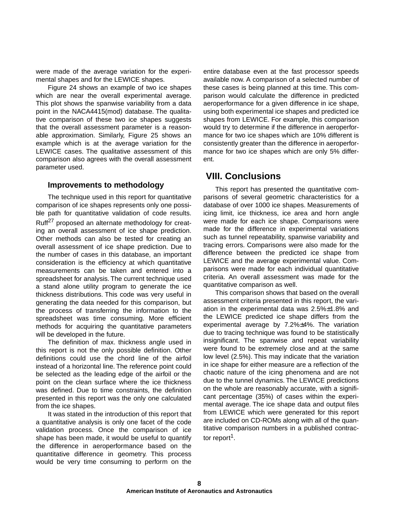were made of the average variation for the experimental shapes and for the LEWICE shapes.

Figure 24 shows an example of two ice shapes which are near the overall experimental average. This plot shows the spanwise variability from a data point in the NACA4415(mod) database. The qualitative comparison of these two ice shapes suggests that the overall assessment parameter is a reasonable approximation. Similarly, Figure 25 shows an example which is at the average variation for the LEWICE cases. The qualitative assessment of this comparison also agrees with the overall assessment parameter used.

#### **Improvements to methodology**

The technique used in this report for quantitative comparison of ice shapes represents only one possible path for quantitative validation of code results. Ruff<sup>27</sup> proposed an alternate methodology for creating an overall assessment of ice shape prediction. Other methods can also be tested for creating an overall assessment of ice shape prediction. Due to the number of cases in this database, an important consideration is the efficiency at which quantitative measurements can be taken and entered into a spreadsheet for analysis. The current technique used a stand alone utility program to generate the ice thickness distributions. This code was very useful in generating the data needed for this comparison, but the process of transferring the information to the spreadsheet was time consuming. More efficient methods for acquiring the quantitative parameters will be developed in the future.

The definition of max. thickness angle used in this report is not the only possible definition. Other definitions could use the chord line of the airfoil instead of a horizontal line. The reference point could be selected as the leading edge of the airfoil or the point on the clean surface where the ice thickness was defined. Due to time constraints, the definition presented in this report was the only one calculated from the ice shapes.

It was stated in the introduction of this report that a quantitative analysis is only one facet of the code validation process. Once the comparison of ice shape has been made, it would be useful to quantify the difference in aeroperformance based on the quantitative difference in geometry. This process would be very time consuming to perform on the

entire database even at the fast processor speeds available now. A comparison of a selected number of these cases is being planned at this time. This comparison would calculate the difference in predicted aeroperformance for a given difference in ice shape, using both experimental ice shapes and predicted ice shapes from LEWICE. For example, this comparison would try to determine if the difference in aeroperformance for two ice shapes which are 10% different is consistently greater than the difference in aeroperformance for two ice shapes which are only 5% different.

## **VIII. Conclusions**

This report has presented the quantitative comparisons of several geometric characteristics for a database of over 1000 ice shapes. Measurements of icing limit, ice thickness, ice area and horn angle were made for each ice shape. Comparisons were made for the difference in experimental variations such as tunnel repeatability, spanwise variability and tracing errors. Comparisons were also made for the difference between the predicted ice shape from LEWICE and the average experimental value. Comparisons were made for each individual quantitative criteria. An overall assessment was made for the quantitative comparison as well.

This comparison shows that based on the overall assessment criteria presented in this report, the variation in the experimental data was 2.5%±1.8% and the LEWICE predicted ice shape differs from the experimental average by 7.2%±4%. The variation due to tracing technique was found to be statistically insignificant. The spanwise and repeat variability were found to be extremely close and at the same low level (2.5%). This may indicate that the variation in ice shape for either measure are a reflection of the chaotic nature of the icing phenomena and are not due to the tunnel dynamics. The LEWICE predictions on the whole are reasonably accurate, with a significant percentage (35%) of cases within the experimental average. The ice shape data and output files from LEWICE which were generated for this report are included on CD-ROMs along with all of the quantitative comparison numbers in a published contractor report<sup>1</sup>.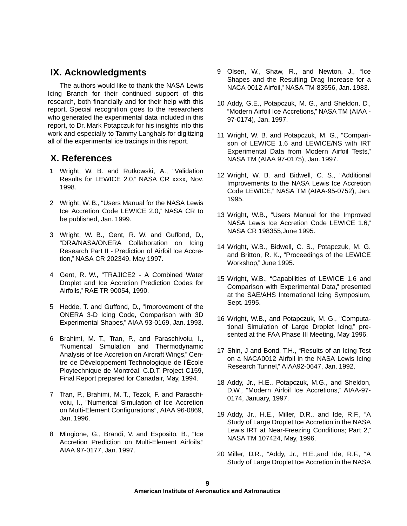# **IX. Acknowledgments**

The authors would like to thank the NASA Lewis Icing Branch for their continued support of this research, both financially and for their help with this report. Special recognition goes to the researchers who generated the experimental data included in this report, to Dr. Mark Potapczuk for his insights into this work and especially to Tammy Langhals for digitizing all of the experimental ice tracings in this report.

# **X. References**

- 1 Wright, W. B. and Rutkowski, A., "Validation Results for LEWICE 2.0," NASA CR xxxx, Nov. 1998.
- 2 Wright, W. B., "Users Manual for the NASA Lewis Ice Accretion Code LEWICE 2.0," NASA CR to be published, Jan. 1999.
- 3 Wright, W. B., Gent, R. W. and Guffond, D., "DRA/NASA/ONERA Collaboration on Icing Research Part II - Prediction of Airfoil Ice Accretion," NASA CR 202349, May 1997.
- 4 Gent, R. W., "TRAJICE2 A Combined Water Droplet and Ice Accretion Prediction Codes for Airfoils," RAE TR 90054, 1990.
- 5 Hedde, T. and Guffond, D., "Improvement of the ONERA 3-D Icing Code, Comparison with 3D Experimental Shapes," AIAA 93-0169, Jan. 1993.
- 6 Brahimi, M. T., Tran, P., and Paraschivoiu, I., "Numerical Simulation and Thermodynamic Analysis of Ice Accretion on Aircraft Wings," Centre de Développement Technologique de l'École Ploytechnique de Montréal, C.D.T. Project C159, Final Report prepared for Canadair, May, 1994.
- 7 Tran, P., Brahimi, M. T., Tezok, F. and Paraschivoiu, I., "Numerical Simulation of Ice Accretion on Multi-Element Configurations", AIAA 96-0869, Jan. 1996.
- 8 Mingione, G., Brandi, V. and Esposito, B., "Ice Accretion Prediction on Multi-Element Airfoils," AIAA 97-0177, Jan. 1997.
- 9 Olsen, W., Shaw, R., and Newton, J., "Ice Shapes and the Resulting Drag Increase for a NACA 0012 Airfoil," NASA TM-83556, Jan. 1983.
- 10 Addy, G.E., Potapczuk, M. G., and Sheldon, D., "Modern Airfoil Ice Accretions," NASA TM (AIAA - 97-0174), Jan. 1997.
- 11 Wright, W. B. and Potapczuk, M. G., "Comparison of LEWICE 1.6 and LEWICE/NS with IRT Experimental Data from Modern Airfoil Tests," NASA TM (AIAA 97-0175), Jan. 1997.
- 12 Wright, W. B. and Bidwell, C. S., "Additional Improvements to the NASA Lewis Ice Accretion Code LEWICE," NASA TM (AIAA-95-0752), Jan. 1995.
- 13 Wright, W.B., "Users Manual for the Improved NASA Lewis Ice Accretion Code LEWICE 1.6," NASA CR 198355,June 1995.
- 14 Wright, W.B., Bidwell, C. S., Potapczuk, M. G. and Britton, R. K., "Proceedings of the LEWICE Workshop," June 1995.
- 15 Wright, W.B., "Capabilities of LEWICE 1.6 and Comparison with Experimental Data," presented at the SAE/AHS International Icing Symposium, Sept. 1995.
- 16 Wright, W.B., and Potapczuk, M. G., "Computational Simulation of Large Droplet Icing," presented at the FAA Phase III Meeting, May 1996.
- 17 Shin, J and Bond, T.H., "Results of an Icing Test on a NACA0012 Airfoil in the NASA Lewis Icing Research Tunnel," AIAA92-0647, Jan. 1992.
- 18 Addy, Jr., H.E., Potapczuk, M.G., and Sheldon, D.W., "Modern Airfoil Ice Accretions," AIAA-97- 0174, January, 1997.
- 19 Addy, Jr., H.E., Miller, D.R., and Ide, R.F., "A Study of Large Droplet Ice Accretion in the NASA Lewis IRT at Near-Freezing Conditions; Part 2," NASA TM 107424, May, 1996.
- 20 Miller, D.R., "Addy, Jr., H.E.,and Ide, R.F., "A Study of Large Droplet Ice Accretion in the NASA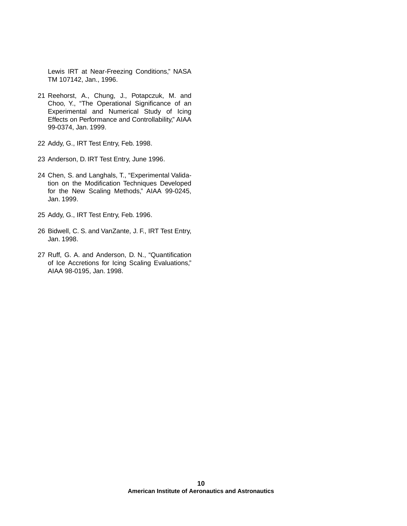Lewis IRT at Near-Freezing Conditions," NASA TM 107142, Jan., 1996.

- 21 Reehorst, A., Chung, J., Potapczuk, M. and Choo, Y., "The Operational Significance of an Experimental and Numerical Study of Icing Effects on Performance and Controllability," AIAA 99-0374, Jan. 1999.
- 22 Addy, G., IRT Test Entry, Feb. 1998.
- 23 Anderson, D. IRT Test Entry, June 1996.
- 24 Chen, S. and Langhals, T., "Experimental Validation on the Modification Techniques Developed for the New Scaling Methods," AIAA 99-0245, Jan. 1999.
- 25 Addy, G., IRT Test Entry, Feb. 1996.
- 26 Bidwell, C. S. and VanZante, J. F., IRT Test Entry, Jan. 1998.
- 27 Ruff, G. A. and Anderson, D. N., "Quantification of Ice Accretions for Icing Scaling Evaluations," AIAA 98-0195, Jan. 1998.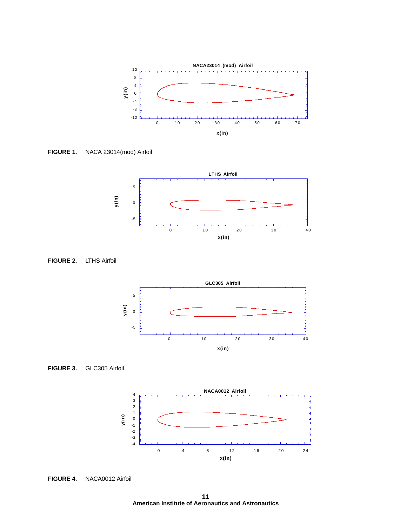

**FIGURE 1.** NACA 23014(mod) Airfoil











**FIGURE 4.** NACA0012 Airfoil

**11 American Institute of Aeronautics and Astronautics**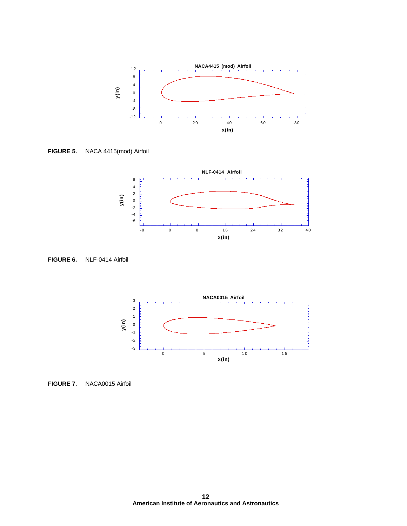

**FIGURE 5.** NACA 4415(mod) Airfoil



**FIGURE 6.** NLF-0414 Airfoil



**FIGURE 7.** NACA0015 Airfoil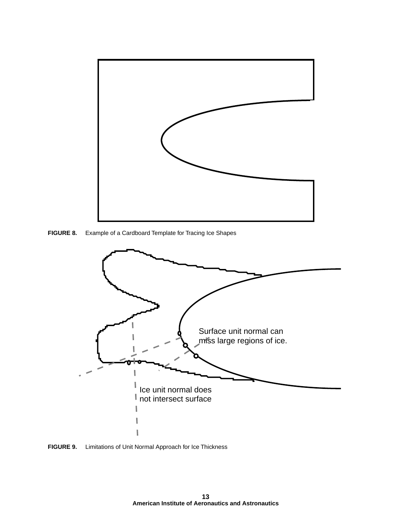

**FIGURE 8.** Example of a Cardboard Template for Tracing Ice Shapes



**FIGURE 9.** Limitations of Unit Normal Approach for Ice Thickness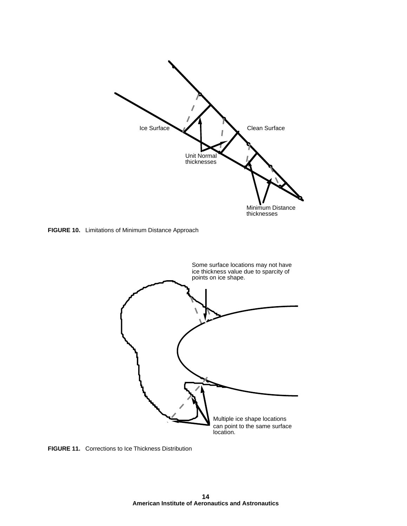

**FIGURE 10.** Limitations of Minimum Distance Approach



**FIGURE 11.** Corrections to Ice Thickness Distribution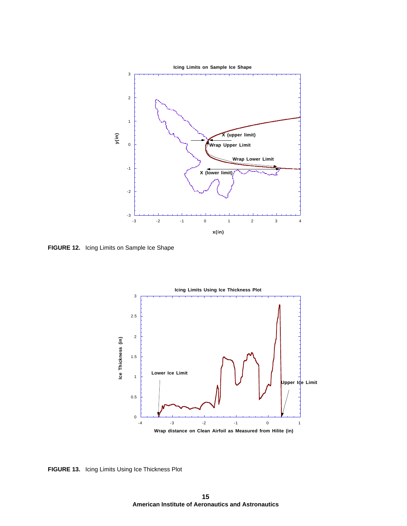

**FIGURE 12.** Icing Limits on Sample Ice Shape



**FIGURE 13.** Icing Limits Using Ice Thickness Plot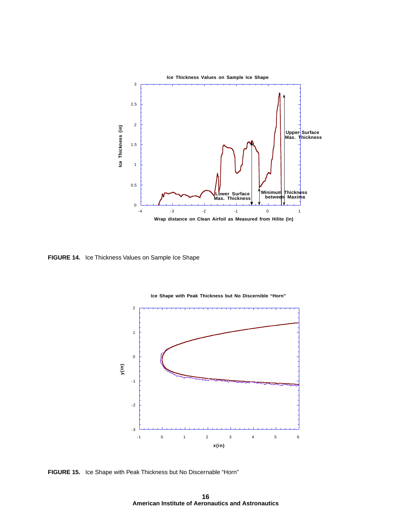

**FIGURE 14.** Ice Thickness Values on Sample Ice Shape



**Ice Shape with Peak Thickness but No Discernible "Horn"**

**FIGURE 15.** Ice Shape with Peak Thickness but No Discernable "Horn"

**16 American Institute of Aeronautics and Astronautics**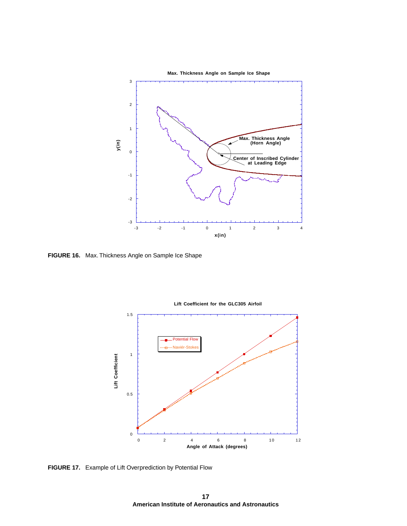

**FIGURE 16.** Max. Thickness Angle on Sample Ice Shape



**Lift Coefficient for the GLC305 Airfoil**

**FIGURE 17.** Example of Lift Overprediction by Potential Flow

**17 American Institute of Aeronautics and Astronautics**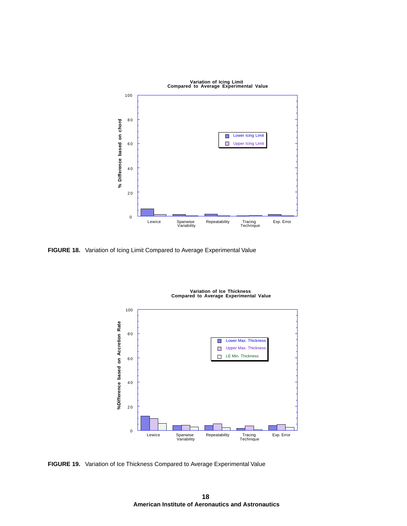

**FIGURE 18.** Variation of Icing Limit Compared to Average Experimental Value



**Variation of Ice Thickness Compared to Average Experimental Value**

**FIGURE 19.** Variation of Ice Thickness Compared to Average Experimental Value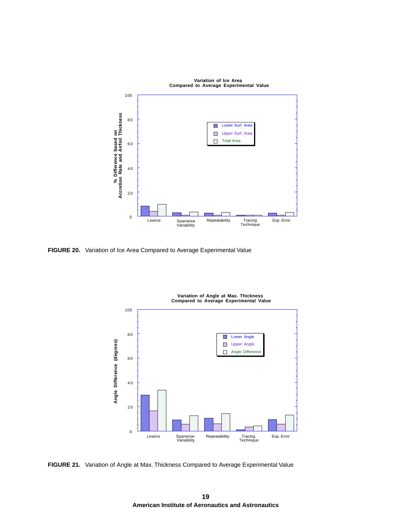

**FIGURE 20.** Variation of Ice Area Compared to Average Experimental Value



**FIGURE 21.** Variation of Angle at Max. Thickness Compared to Average Experimental Value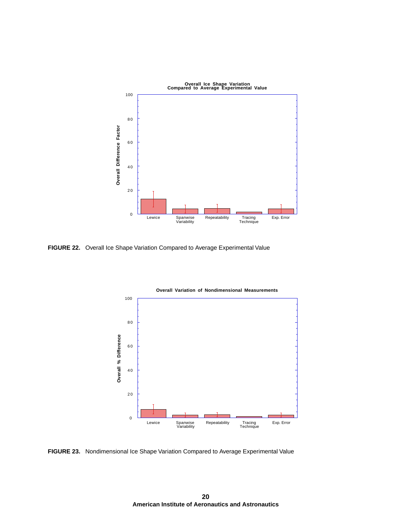

**FIGURE 22.** Overall Ice Shape Variation Compared to Average Experimental Value



**FIGURE 23.** Nondimensional Ice Shape Variation Compared to Average Experimental Value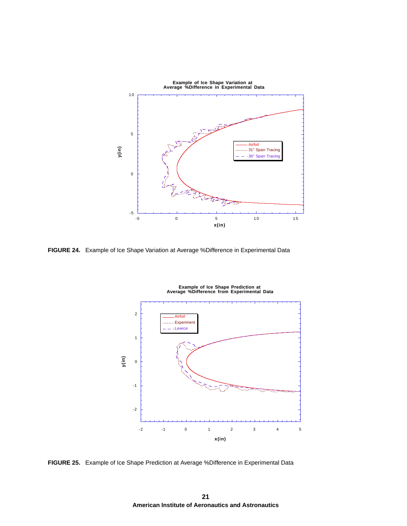

**FIGURE 24.** Example of Ice Shape Variation at Average %Difference in Experimental Data



**Example of Ice Shape Prediction at Average %Difference from Experimental Data**

**FIGURE 25.** Example of Ice Shape Prediction at Average %Difference in Experimental Data

**21 American Institute of Aeronautics and Astronautics**